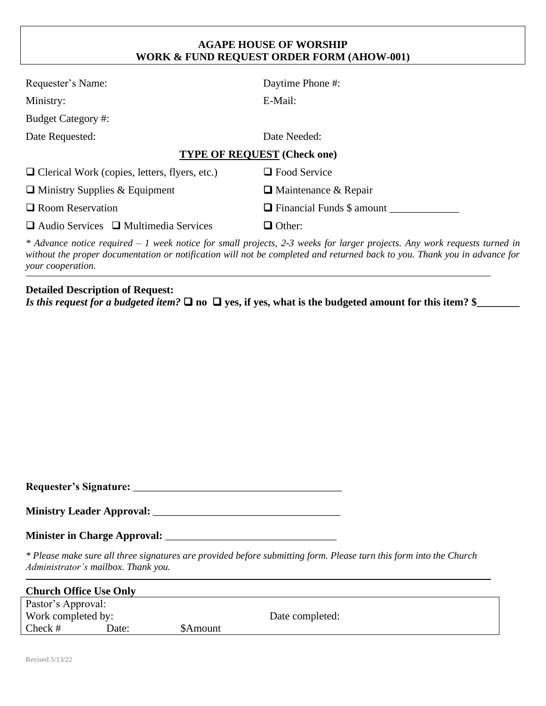## **AGAPE HOUSE OF WORSHIP WORK & FUND REQUEST ORDER FORM (AHOW-001)**

| Requester's Name:                                    | Daytime Phone #:                                                                                                                                                                                                                                                                                                                                                                                                             |  |  |  |
|------------------------------------------------------|------------------------------------------------------------------------------------------------------------------------------------------------------------------------------------------------------------------------------------------------------------------------------------------------------------------------------------------------------------------------------------------------------------------------------|--|--|--|
| Ministry:                                            | E-Mail:                                                                                                                                                                                                                                                                                                                                                                                                                      |  |  |  |
| <b>Budget Category #:</b>                            |                                                                                                                                                                                                                                                                                                                                                                                                                              |  |  |  |
| Date Requested:                                      | Date Needed:                                                                                                                                                                                                                                                                                                                                                                                                                 |  |  |  |
| <b>TYPE OF REQUEST (Check one)</b>                   |                                                                                                                                                                                                                                                                                                                                                                                                                              |  |  |  |
| $\Box$ Clerical Work (copies, letters, flyers, etc.) | $\Box$ Food Service                                                                                                                                                                                                                                                                                                                                                                                                          |  |  |  |
| $\Box$ Ministry Supplies & Equipment                 | $\Box$ Maintenance & Repair                                                                                                                                                                                                                                                                                                                                                                                                  |  |  |  |
| $\Box$ Room Reservation                              | $\Box$ Financial Funds \$ amount                                                                                                                                                                                                                                                                                                                                                                                             |  |  |  |
| $\Box$ Audio Services $\Box$ Multimedia Services     | $\Box$ Other:                                                                                                                                                                                                                                                                                                                                                                                                                |  |  |  |
|                                                      | $*$ Advance notice required $-1$ week notice for small projects, 2-3 weeks for larger projects. Any work requests turned in<br>$\mathbf{I}$ , and the contract $\mathbf{I}$ and $\mathbf{I}$ and $\mathbf{I}$ and $\mathbf{I}$ and $\mathbf{I}$ and $\mathbf{I}$ and $\mathbf{I}$ and $\mathbf{I}$ and $\mathbf{I}$ and $\mathbf{I}$ and $\mathbf{I}$ and $\mathbf{I}$ and $\mathbf{I}$ and $\mathbf{I}$ and $\mathbf{I}$ an |  |  |  |

*without the proper documentation or notification will not be completed and returned back to you. Thank you in advance for your cooperation.*

## **Detailed Description of Request:**

*Is this request for a budgeted item?* ❑ **no** ❑ **yes, if yes, what is the budgeted amount for this item? \$\_\_\_\_\_\_\_\_**

**Requester's Signature:** \_\_\_\_\_\_\_\_\_\_\_\_\_\_\_\_\_\_\_\_\_\_\_\_\_\_\_\_\_\_\_\_\_\_\_\_\_\_\_

**Ministry Leader Approval:** \_\_\_\_\_\_\_\_\_\_\_\_\_\_\_\_\_\_\_\_\_\_\_\_\_\_\_\_\_\_\_\_\_\_\_

## **Minister in Charge Approval:** \_\_\_\_\_\_\_\_\_\_\_\_\_\_\_\_\_\_\_\_\_\_\_\_\_\_\_\_\_\_\_\_

*\* Please make sure all three signatures are provided before submitting form. Please turn this form into the Church Administrator's mailbox. Thank you.*

| <b>Church Office Use Only</b> |       |                |                 |
|-------------------------------|-------|----------------|-----------------|
| Pastor's Approval:            |       |                |                 |
| Work completed by:            |       |                | Date completed: |
| Check $#$                     | Date: | <b>SAmount</b> |                 |